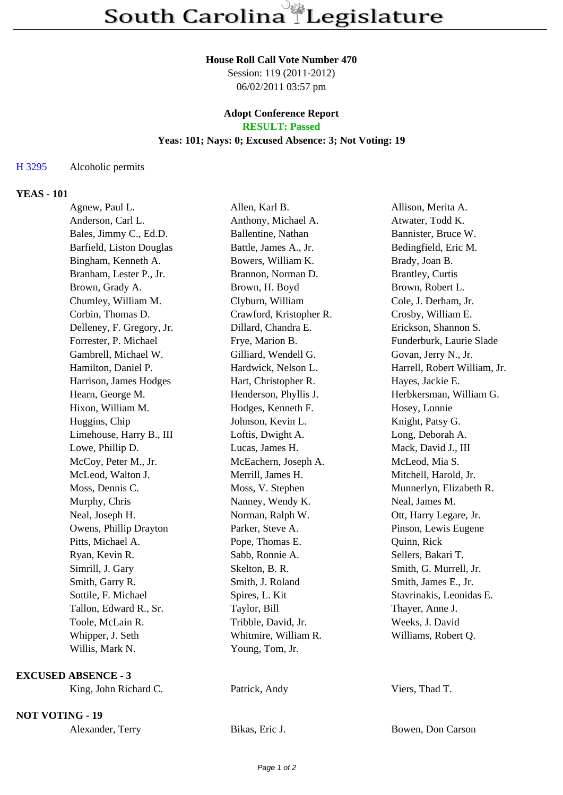### **House Roll Call Vote Number 470**

Session: 119 (2011-2012) 06/02/2011 03:57 pm

# **Adopt Conference Report**

## **RESULT: Passed**

### **Yeas: 101; Nays: 0; Excused Absence: 3; Not Voting: 19**

#### H 3295 Alcoholic permits

#### **YEAS - 101**

| Agnew, Paul L.             | Allen, Karl B.          | Allison, Merita A.           |
|----------------------------|-------------------------|------------------------------|
| Anderson, Carl L.          | Anthony, Michael A.     | Atwater, Todd K.             |
| Bales, Jimmy C., Ed.D.     | Ballentine, Nathan      | Bannister, Bruce W.          |
| Barfield, Liston Douglas   | Battle, James A., Jr.   | Bedingfield, Eric M.         |
| Bingham, Kenneth A.        | Bowers, William K.      | Brady, Joan B.               |
| Branham, Lester P., Jr.    | Brannon, Norman D.      | <b>Brantley, Curtis</b>      |
| Brown, Grady A.            | Brown, H. Boyd          | Brown, Robert L.             |
| Chumley, William M.        | Clyburn, William        | Cole, J. Derham, Jr.         |
| Corbin, Thomas D.          | Crawford, Kristopher R. | Crosby, William E.           |
| Delleney, F. Gregory, Jr.  | Dillard, Chandra E.     | Erickson, Shannon S.         |
| Forrester, P. Michael      | Frye, Marion B.         | Funderburk, Laurie Slade     |
| Gambrell, Michael W.       | Gilliard, Wendell G.    | Govan, Jerry N., Jr.         |
| Hamilton, Daniel P.        | Hardwick, Nelson L.     | Harrell, Robert William, Jr. |
| Harrison, James Hodges     | Hart, Christopher R.    | Hayes, Jackie E.             |
| Hearn, George M.           | Henderson, Phyllis J.   | Herbkersman, William G.      |
| Hixon, William M.          | Hodges, Kenneth F.      | Hosey, Lonnie                |
| Huggins, Chip              | Johnson, Kevin L.       | Knight, Patsy G.             |
| Limehouse, Harry B., III   | Loftis, Dwight A.       | Long, Deborah A.             |
| Lowe, Phillip D.           | Lucas, James H.         | Mack, David J., III          |
| McCoy, Peter M., Jr.       | McEachern, Joseph A.    | McLeod, Mia S.               |
| McLeod, Walton J.          | Merrill, James H.       | Mitchell, Harold, Jr.        |
| Moss, Dennis C.            | Moss, V. Stephen        | Munnerlyn, Elizabeth R.      |
| Murphy, Chris              | Nanney, Wendy K.        | Neal, James M.               |
| Neal, Joseph H.            | Norman, Ralph W.        | Ott, Harry Legare, Jr.       |
| Owens, Phillip Drayton     | Parker, Steve A.        | Pinson, Lewis Eugene         |
| Pitts, Michael A.          | Pope, Thomas E.         | Quinn, Rick                  |
| Ryan, Kevin R.             | Sabb, Ronnie A.         | Sellers, Bakari T.           |
| Simrill, J. Gary           | Skelton, B. R.          | Smith, G. Murrell, Jr.       |
| Smith, Garry R.            | Smith, J. Roland        | Smith, James E., Jr.         |
| Sottile, F. Michael        | Spires, L. Kit          | Stavrinakis, Leonidas E.     |
| Tallon, Edward R., Sr.     | Taylor, Bill            | Thayer, Anne J.              |
| Toole, McLain R.           | Tribble, David, Jr.     | Weeks, J. David              |
| Whipper, J. Seth           | Whitmire, William R.    | Williams, Robert Q.          |
| Willis, Mark N.            | Young, Tom, Jr.         |                              |
| <b>EXCUSED ABSENCE - 3</b> |                         |                              |
| King, John Richard C.      | Patrick, Andy           | Viers, Thad T.               |

**NOT VOTING - 19**

| Alexander, Terry | Bikas, Eric J. | Bowen, Don Carson |
|------------------|----------------|-------------------|
|                  |                |                   |